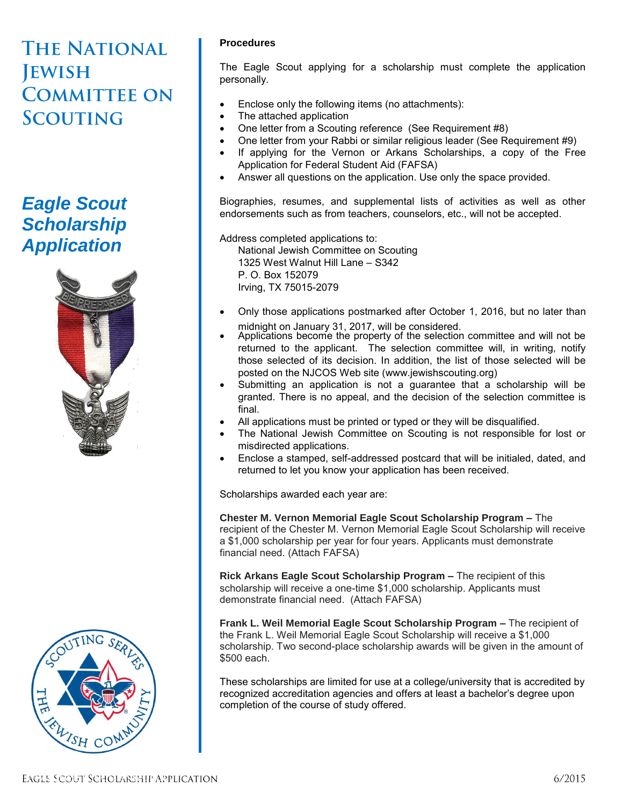# **THE NATIONAL JEWISH COMMITTEE ON SCOUTING**

## *Eagle Scout Scholarship Application*





## **Procedures**

The Eagle Scout applying for a scholarship must complete the application personally.

- Enclose only the following items (no attachments):
- The attached application
- One letter from a Scouting reference (See Requirement #8)
- One letter from your Rabbi or similar religious leader (See Requirement #9)
- If applying for the Vernon or Arkans Scholarships, a copy of the Free Application for Federal Student Aid (FAFSA)
- Answer all questions on the application. Use only the space provided.

Biographies, resumes, and supplemental lists of activities as well as other endorsements such as from teachers, counselors, etc., will not be accepted.

Address completed applications to: National Jewish Committee on Scouting 1325 West Walnut Hill Lane – S342 P. O. Box 152079 Irving, TX 75015-2079

- Only those applications postmarked after October 1, 2016, but no later than midnight on January 31, 2017, will be considered.
- Applications become the property of the selection committee and will not be returned to the applicant. The selection committee will, in writing, notify those selected of its decision. In addition, the list of those selected will be posted on the NJCOS Web site (www.jewishscouting.org)
- Submitting an application is not a guarantee that a scholarship will be granted. There is no appeal, and the decision of the selection committee is final.
- All applications must be printed or typed or they will be disqualified.
- The National Jewish Committee on Scouting is not responsible for lost or misdirected applications.
- Enclose a stamped, self-addressed postcard that will be initialed, dated, and returned to let you know your application has been received.

Scholarships awarded each year are:

**Chester M. Vernon Memorial Eagle Scout Scholarship Program –** The recipient of the Chester M. Vernon Memorial Eagle Scout Scholarship will receive a \$1,000 scholarship per year for four years. Applicants must demonstrate financial need. (Attach FAFSA)

**Rick Arkans Eagle Scout Scholarship Program –** The recipient of this scholarship will receive a one-time \$1,000 scholarship. Applicants must demonstrate financial need. (Attach FAFSA)

**Frank L. Weil Memorial Eagle Scout Scholarship Program –** The recipient of the Frank L. Weil Memorial Eagle Scout Scholarship will receive a \$1,000 scholarship. Two second-place scholarship awards will be given in the amount of \$500 each.

These scholarships are limited for use at a college/university that is accredited by recognized accreditation agencies and offers at least a bachelor's degree upon completion of the course of study offered.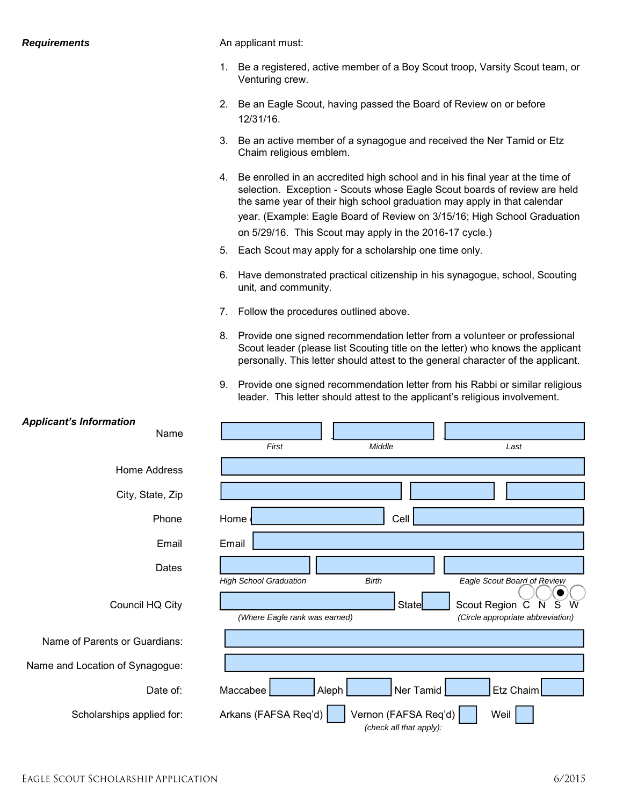#### *Requirements*

An applicant must:

- 1. Be a registered, active member of a Boy Scout troop, Varsity Scout team, or Venturing crew.
- 2. Be an Eagle Scout, having passed the Board of Review on or before 12/31/16.
- 3. Be an active member of a synagogue and received the Ner Tamid or Etz Chaim religious emblem.
- 4. Be enrolled in an accredited high school and in his final year at the time of selection. Exception - Scouts whose Eagle Scout boards of review are held the same year of their high school graduation may apply in that calendar year. (Example: Eagle Board of Review on 3/15/16; High School Graduation on 5/29/16. This Scout may apply in the 2016-17 cycle.)
- 5. Each Scout may apply for a scholarship one time only.
- 6. Have demonstrated practical citizenship in his synagogue, school, Scouting unit, and community.
- 7. Follow the procedures outlined above.
- 8. Provide one signed recommendation letter from a volunteer or professional Scout leader (please list Scouting title on the letter) who knows the applicant personally. This letter should attest to the general character of the applicant.
- 9. Provide one signed recommendation letter from his Rabbi or similar religious leader. This letter should attest to the applicant's religious involvement.

| <b>Applicant's Information</b>  |                                                                                 |
|---------------------------------|---------------------------------------------------------------------------------|
| Name                            |                                                                                 |
|                                 | Middle<br>First<br>Last                                                         |
| <b>Home Address</b>             |                                                                                 |
| City, State, Zip                |                                                                                 |
| Phone                           | Home<br>Cell                                                                    |
| Email                           | Email                                                                           |
| Dates                           |                                                                                 |
|                                 | <b>Birth</b><br>Eagle Scout Board of Review<br><b>High School Graduation</b>    |
| Council HQ City                 | <b>State</b><br>W<br>Scout Region C<br>S<br>N                                   |
|                                 | (Where Eagle rank was earned)<br>(Circle appropriate abbreviation)              |
| Name of Parents or Guardians:   |                                                                                 |
| Name and Location of Synagogue: |                                                                                 |
| Date of:                        | Ner Tamid<br>Etz Chaim<br>Maccabee<br>Aleph                                     |
| Scholarships applied for:       | Arkans (FAFSA Req'd)<br>Vernon (FAFSA Req'd)<br>Weil<br>(check all that apply): |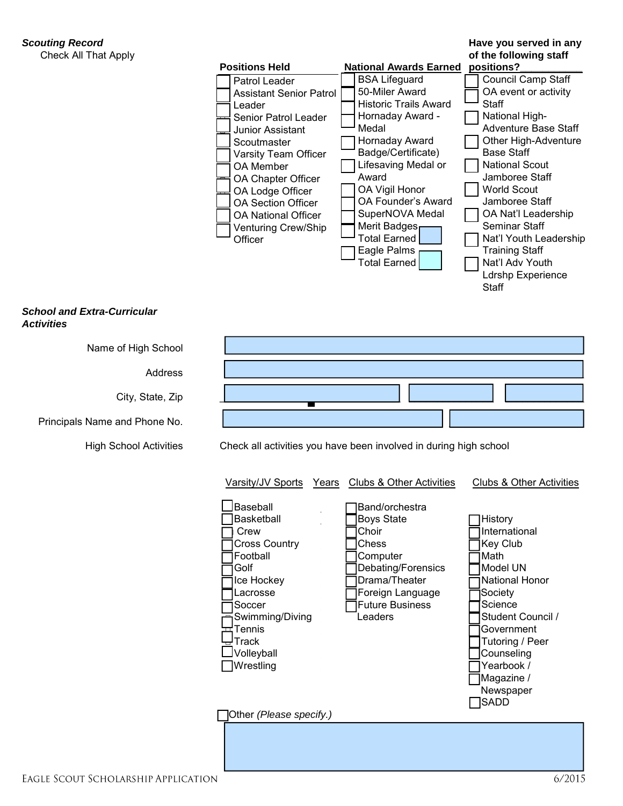## *Scouting Record*

Check All That Apply

## **Have you served in any of the following staff**



#### *School and Extra-Curricular Activities*

| Name of High School                 |                                                                                                                                                                                                                                                                                                                                                                                                                                                                                                                                                                                                                                                                                                                               |        |  |
|-------------------------------------|-------------------------------------------------------------------------------------------------------------------------------------------------------------------------------------------------------------------------------------------------------------------------------------------------------------------------------------------------------------------------------------------------------------------------------------------------------------------------------------------------------------------------------------------------------------------------------------------------------------------------------------------------------------------------------------------------------------------------------|--------|--|
| <b>Address</b>                      |                                                                                                                                                                                                                                                                                                                                                                                                                                                                                                                                                                                                                                                                                                                               |        |  |
| City, State, Zip                    |                                                                                                                                                                                                                                                                                                                                                                                                                                                                                                                                                                                                                                                                                                                               |        |  |
| Principals Name and Phone No.       |                                                                                                                                                                                                                                                                                                                                                                                                                                                                                                                                                                                                                                                                                                                               |        |  |
| <b>High School Activities</b>       | Check all activities you have been involved in during high school                                                                                                                                                                                                                                                                                                                                                                                                                                                                                                                                                                                                                                                             |        |  |
|                                     | Varsity/JV Sports<br><b>Clubs &amp; Other Activities</b><br><b>Clubs &amp; Other Activities</b><br>Years<br>Baseball<br>Band/orchestra<br><b>Boys State</b><br>Basketball<br>History<br>Choir<br>International<br>Crew<br><b>Cross Country</b><br>Chess<br>Key Club<br>Football<br>Math<br>Computer<br>Debating/Forensics<br>Golf<br>Model UN<br>Drama/Theater<br>National Honor<br>Ice Hockey<br>Foreign Language<br>Lacrosse<br>Society<br><b>Future Business</b><br>Science<br>Soccer<br>Leaders<br>Student Council /<br>Swimming/Diving<br>국Tennis<br>Government<br>Frack!<br>Tutoring / Peer<br>Volleyball<br>Counseling<br>Yearbook /<br>Wrestling<br>Magazine /<br>Newspaper<br><b>SADD</b><br>Other (Please specify.) |        |  |
| EAGLE SCOUT SCHOLARSHIP APPLICATION |                                                                                                                                                                                                                                                                                                                                                                                                                                                                                                                                                                                                                                                                                                                               | 6/2015 |  |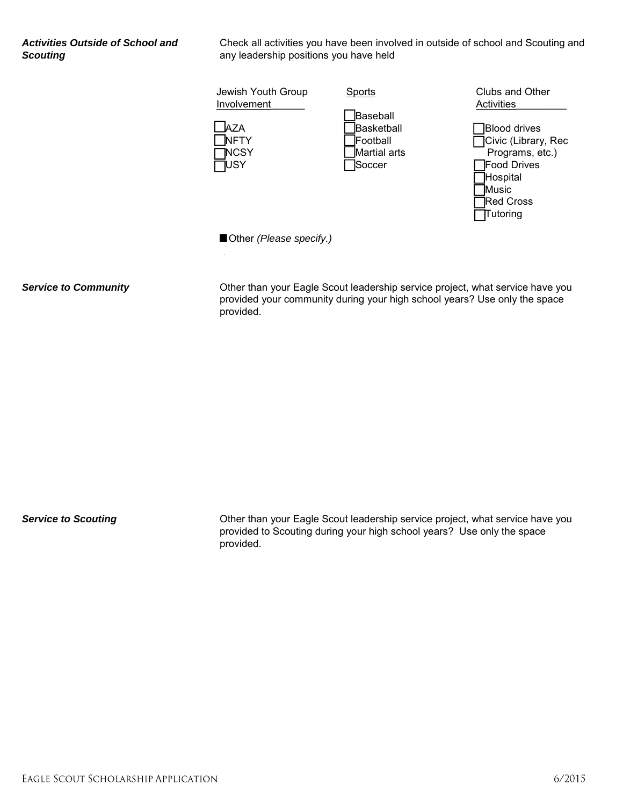*Activities Outside of School and Scouting*

Check all activities you have been involved in outside of school and Scouting and any leadership positions you have held

| Jewish Youth Group<br>Involvement<br>A7A<br><b>NFTY</b><br><b>INCSY</b><br>USY | Sports<br>Baseball<br><b>Basketball</b><br>Football<br>Martial arts<br>Soccer | Clubs and Other<br>Activities<br><b>Blood drives</b><br>Civic (Library, Rec<br>Programs, etc.)<br><b>Food Drives</b><br>Hospital<br>Music<br><b>Red Cross</b><br>Tutoring |
|--------------------------------------------------------------------------------|-------------------------------------------------------------------------------|---------------------------------------------------------------------------------------------------------------------------------------------------------------------------|
| Other (Please specify.)                                                        |                                                                               |                                                                                                                                                                           |
|                                                                                |                                                                               |                                                                                                                                                                           |

*Service to Community* 

Other than your Eagle Scout leadership service project, what service have you provided your community during your high school years? Use only the space provided.

*Service to Scouting* 

Other than your Eagle Scout leadership service project, what service have you provided to Scouting during your high school years? Use only the space provided.